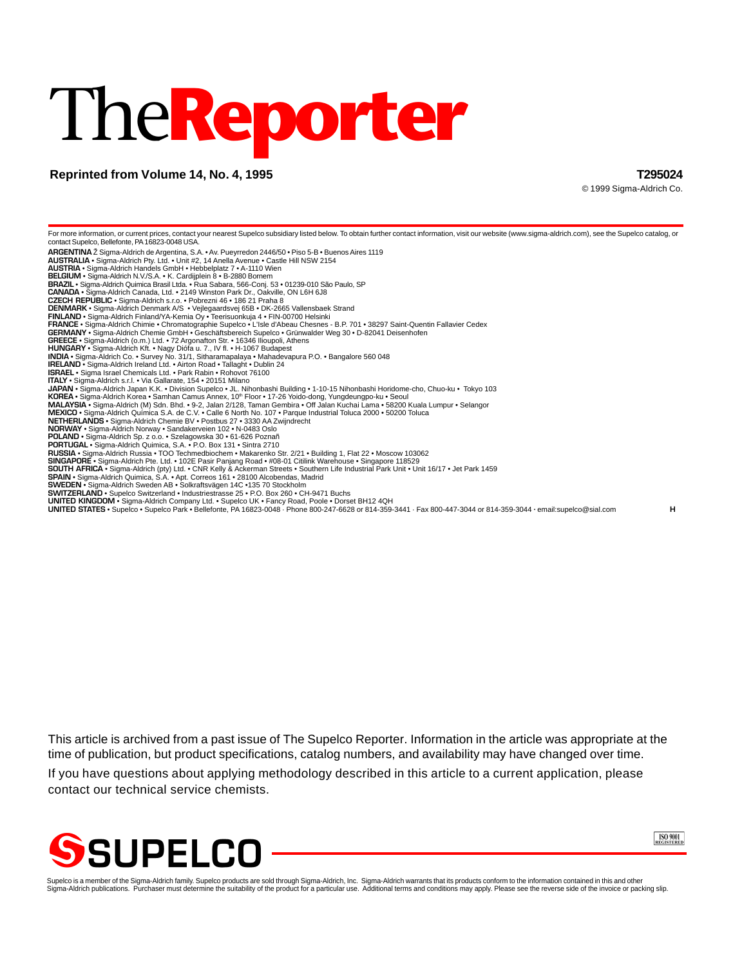# The**Reporter**

## **Reprinted from Volume 14, No. 4, 1995 T295024**

© 1999 Sigma-Aldrich Co.

For more information, or current prices, contact your nearest Supelco subsidiary listed below. To obtain further contact information, visit our website (www.sigma-aldrich.com), see the Supelco catalog, or contact Supelco, Bellefonte, PA 16823-0048 USA. **ARGENTINA** Ž Sigma-Aldrich de Argentina, S.A. • Av. Pueyrredon 2446/50 • Piso 5-B • Buenos Aires 1119 **AUSTRALIA** • Sigma-Aldrich Pty. Ltd. • Unit #2, 14 Anella Avenue • Castle Hill NSW 2154 **AUSTRIA** • Sigma-Aldrich Handels GmbH • Hebbelplatz 7 • A-1110 Wien **BELGIUM** • Sigma-Aldrich N.V./S.A. • K. Cardijplein 8 • B-2880 Bornem **BRAZIL** • Sigma-Aldrich Quimica Brasil Ltda. • Rua Sabara, 566-Conj. 53 • 01239-010 São Paulo, SP **CANADA** • Sigma-Aldrich Canada, Ltd. • 2149 Winston Park Dr., Oakville, ON L6H 6J8 **CZECH REPUBLIC** • Sigma-Aldrich s.r.o. • Pobrezni 46 • 186 21 Praha 8 **DENMARK** • Sigma-Aldrich Denmark A/S • Vejlegaardsvej 65B • DK-2665 Vallensbaek Strand **FINLAND •** Sigma-Aldrich Finland/YA-Kemia Oy • Teerisuonkuja 4 • FIN-00700 Helsinki<br>**FRANCE •** Sigma-Aldrich Chimie • Chromatographie Supelco • L'Isle d'Abeau Chesnes - B.P. 701 • 38297 Saint-Quentin Fallavier Cedex<br>**GER GREECE** • Sigma-Aldrich (o.m.) Ltd. • 72 Argonafton Str. • 16346 Ilioupoli, Athens **HUNGARY** • Sigma-Aldrich Kft. • Nagy Diófa u. 7., IV fl. • H-1067 Budapest **INDIA •** Sigma-Aldrich Co. • Survey No. 31/1, Sitharamapalaya • Mahadevapura P.O. • Bangalore 560 048<br>I**RELAND •** Sigma-Aldrich Ireland Ltd. • Airton Road • Tallaght • Dublin 24<br>**ISRAEL •** Sigma Israel Chemicals Ltd. • P **ITALY** • Sigma-Aldrich s.r.l. • Via Gallarate, 154 • 20151 Milano **JAPAN •** Sigma-Aldrich Japan K.K. • Division Supelco • JL. Nihonbashi Building • 1-10-15 Nihonbashi Horidome-cho, Chuo-ku • Tokyo 103<br>**KOREA •** Sigma-Aldrich Korea • Samhan Camus Annex, 10‴ Floor • 17-26 Yoido-dong, Yung **POLAND** • Sigma-Aldrich Sp. z o.o. • Szelagowska 30 • 61-626 Poznañ **PORTUGAL** • Sigma-Aldrich Quimica, S.A. • P.O. Box 131 • Sintra 2710 **RUSSIA •** Sigma-Aldrich Russia • TOO Techmedbiochem • Makarenko Str. 2/21 • Building 1, Flat 22 • Moscow 103062<br>S**INGAPORE •** Sigma-Aldrich Pte. Ltd. • 102E Pasir Panjang Road • #08-01 Citilink Warehouse • Singapore 1185 **SWEDEN •** Sigma-Aldrich Sweden AB • Solkraftsvägen 14C •135 70 Stockholm<br>**SWITZERLAND •** Supelco Switzerland • Industriestrasse 25 • P.O. Box 260 • CH-9471 Buchs **UNITED KINGDOM •** Sigma-Aldrich Company Ltd. • Supelco UK • Fancy Road, Poole • Dorset BH12 4QH<br>**UNITED STATES •** Supelco • Supelco Park • Bellefonte, PA 16823-0048 · Phone 800-247-6628 or 814-359-3441 · Fax 800-447-3044

This article is archived from a past issue of The Supelco Reporter. Information in the article was appropriate at the time of publication, but product specifications, catalog numbers, and availability may have changed over time.

If you have questions about applying methodology described in this article to a current application, please contact our technical service chemists.





Supelco is a member of the Sigma-Aldrich family. Supelco products are sold through Sigma-Aldrich, Inc. Sigma-Aldrich warrants that its products conform to the information contained in this and other<br>Sigma-Aldrich publicati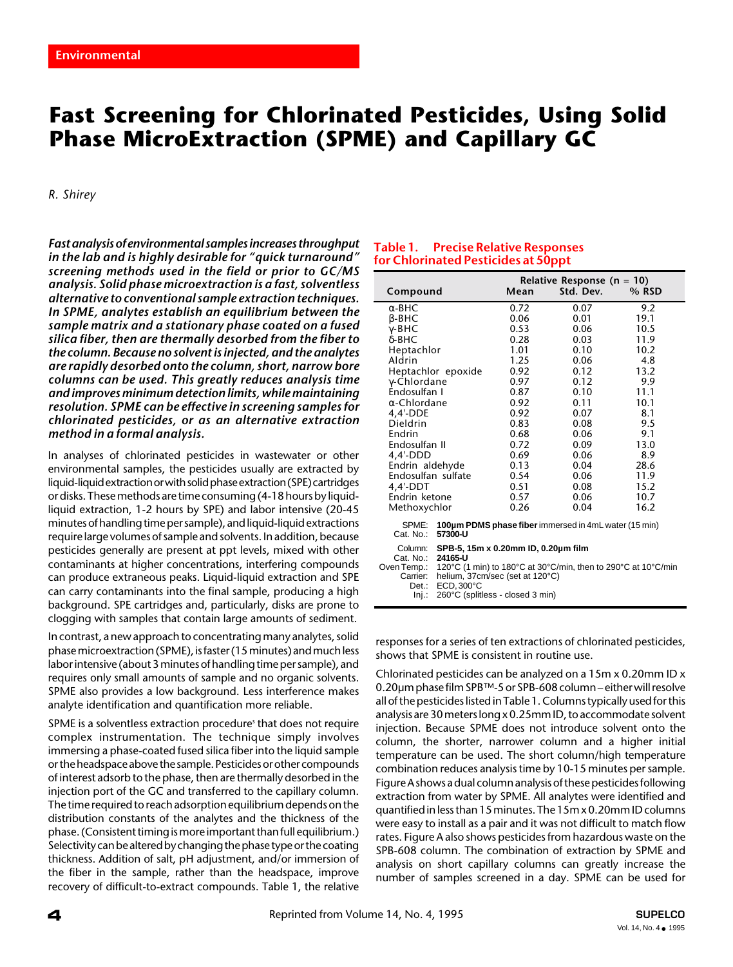# **Fast Screening for Chlorinated Pesticides, Using Solid Phase MicroExtraction (SPME) and Capillary GC**

*R. Shirey*

*Fast analysis of environmental samples increases throughput in the lab and is highly desirable for "quick turnaround" screening methods used in the field or prior to GC/MS analysis. Solid phase microextraction is a fast, solventless alternative to conventional sample extraction techniques. In SPME, analytes establish an equilibrium between the sample matrix and a stationary phase coated on a fused silica fiber, then are thermally desorbed from the fiber to the column. Because no solvent is injected, and the analytes are rapidly desorbed onto the column, short, narrow bore columns can be used. This greatly reduces analysis time and improves minimum detection limits, while maintaining resolution. SPME can be effective in screening samples for chlorinated pesticides, or as an alternative extraction method in a formal analysis.*

In analyses of chlorinated pesticides in wastewater or other environmental samples, the pesticides usually are extracted by liquid-liquid extraction or with solid phase extraction (SPE) cartridges or disks. These methods are time consuming (4-18 hours by liquidliquid extraction, 1-2 hours by SPE) and labor intensive (20-45 minutes of handling time per sample), and liquid-liquid extractions require large volumes of sample and solvents. In addition, because pesticides generally are present at ppt levels, mixed with other contaminants at higher concentrations, interfering compounds can produce extraneous peaks. Liquid-liquid extraction and SPE can carry contaminants into the final sample, producing a high background. SPE cartridges and, particularly, disks are prone to clogging with samples that contain large amounts of sediment.

In contrast, a new approach to concentrating many analytes, solid phase microextraction (SPME), is faster (15 minutes) and much less labor intensive (about 3 minutes of handling time per sample), and requires only small amounts of sample and no organic solvents. SPME also provides a low background. Less interference makes analyte identification and quantification more reliable.

SPME is a solventless extraction procedure<sup>s</sup> that does not require complex instrumentation. The technique simply involves immersing a phase-coated fused silica fiber into the liquid sample or the headspace above the sample. Pesticides or other compounds of interest adsorb to the phase, then are thermally desorbed in the injection port of the GC and transferred to the capillary column. The time required to reach adsorption equilibrium depends on the distribution constants of the analytes and the thickness of the phase. (Consistent timing is more important than full equilibrium.) Selectivity can be altered by changing the phase type or the coating thickness. Addition of salt, pH adjustment, and/or immersion of the fiber in the sample, rather than the headspace, improve recovery of difficult-to-extract compounds. Table 1, the relative

#### **Table 1. Precise Relative Responses for Chlorinated Pesticides at 50ppt**

| Compound                                                 |                                                                                                                                                                          | Mean | Relative Response ( $n = 10$ )<br>Std. Dev. | $%$ RSD |
|----------------------------------------------------------|--------------------------------------------------------------------------------------------------------------------------------------------------------------------------|------|---------------------------------------------|---------|
| $\alpha$ -BHC                                            |                                                                                                                                                                          | 0.72 | 0.07                                        | 9.2     |
| $\beta$ -BHC                                             |                                                                                                                                                                          | 0.06 | 0.01                                        | 19.1    |
| $\gamma$ -BHC                                            |                                                                                                                                                                          | 0.53 | 0.06                                        | 10.5    |
| $\delta$ -BHC                                            |                                                                                                                                                                          | 0.28 | 0.03                                        | 11.9    |
| Heptachlor                                               |                                                                                                                                                                          | 1.01 | 0.10                                        | 10.2    |
| Aldrin                                                   |                                                                                                                                                                          | 1.25 | 0.06                                        | 4.8     |
| Heptachlor epoxide                                       |                                                                                                                                                                          | 0.92 | 0.12                                        | 13.2    |
| $\gamma$ -Chlordane                                      |                                                                                                                                                                          | 0.97 | 0.12                                        | 9.9     |
| Éndosulfan I                                             |                                                                                                                                                                          | 0.87 | 0.10                                        | 11.1    |
| $\alpha$ -Chlordane                                      |                                                                                                                                                                          | 0.92 | 0.11                                        | 10.1    |
| $4,4'$ -DDE                                              |                                                                                                                                                                          | 0.92 | 0.07                                        | 8.1     |
| Dieldrin                                                 |                                                                                                                                                                          | 0.83 | 0.08                                        | 9.5     |
| Endrin                                                   |                                                                                                                                                                          | 0.68 | 0.06                                        | 9.1     |
| Endosulfan II                                            |                                                                                                                                                                          | 0.72 | 0.09                                        | 13.0    |
| $4,4'$ -DDD                                              |                                                                                                                                                                          | 0.69 | 0.06                                        | 8.9     |
| Endrin aldehyde                                          |                                                                                                                                                                          | 0.13 | 0.04                                        | 28.6    |
| Endosulfan sulfate                                       |                                                                                                                                                                          | 0.54 | 0.06                                        | 11.9    |
| $4,4'$ -DDT                                              |                                                                                                                                                                          | 0.51 | 0.08                                        | 15.2    |
| Endrin ketone                                            |                                                                                                                                                                          | 0.57 | 0.06                                        | 10.7    |
| Methoxychlor                                             |                                                                                                                                                                          | 0.26 | 0.04                                        | 16.2    |
| SPME:<br>Cat. No.:                                       | 100um PDMS phase fiber immersed in 4mL water (15 min)<br>57300-U                                                                                                         |      |                                             |         |
| Column:<br>Cat. No.:<br>Oven Temp.:<br>Carrier:<br>Det.: | SPB-5, 15m x 0.20mm ID, 0.20um film<br>24165-U<br>120°C (1 min) to 180°C at 30°C/min, then to 290°C at 10°C/min<br>helium, 37cm/sec (set at 120°C)<br>$ECD.300^{\circ}C$ |      |                                             |         |
| lnj.:                                                    | 260°C (splitless - closed 3 min)                                                                                                                                         |      |                                             |         |

responses for a series of ten extractions of chlorinated pesticides, shows that SPME is consistent in routine use.

Chlorinated pesticides can be analyzed on a 15m x 0.20mm ID x 0.20µm phase film SPB™-5 or SPB-608 column – either will resolve all of the pesticides listed in Table 1. Columns typically used for this analysis are 30 meters long x 0.25mm ID, to accommodate solvent injection. Because SPME does not introduce solvent onto the column, the shorter, narrower column and a higher initial temperature can be used. The short column/high temperature combination reduces analysis time by 10-15 minutes per sample. Figure A shows a dual column analysis of these pesticides following extraction from water by SPME. All analytes were identified and quantified in less than 15 minutes. The 15m x 0.20mm ID columns were easy to install as a pair and it was not difficult to match flow rates. Figure A also shows pesticides from hazardous waste on the SPB-608 column. The combination of extraction by SPME and analysis on short capillary columns can greatly increase the number of samples screened in a day. SPME can be used for